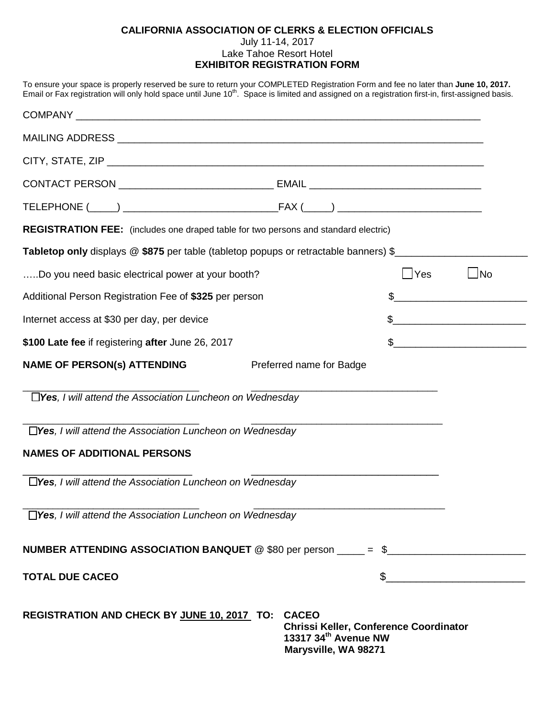## **CALIFORNIA ASSOCIATION OF CLERKS & ELECTION OFFICIALS** July 11-14, 2017 Lake Tahoe Resort Hotel **EXHIBITOR REGISTRATION FORM**

| To ensure your space is properly reserved be sure to return your COMPLETED Registration Form and fee no later than June 10, 2017.<br>Email or Fax registration will only hold space until June 10 <sup>th</sup> . Space is limited and assigned on a registration first-in, first-assigned basis. |                                                                                               |            |                                                                                                                                                                                                                                                                                                                                                                     |
|---------------------------------------------------------------------------------------------------------------------------------------------------------------------------------------------------------------------------------------------------------------------------------------------------|-----------------------------------------------------------------------------------------------|------------|---------------------------------------------------------------------------------------------------------------------------------------------------------------------------------------------------------------------------------------------------------------------------------------------------------------------------------------------------------------------|
|                                                                                                                                                                                                                                                                                                   |                                                                                               |            |                                                                                                                                                                                                                                                                                                                                                                     |
|                                                                                                                                                                                                                                                                                                   |                                                                                               |            |                                                                                                                                                                                                                                                                                                                                                                     |
|                                                                                                                                                                                                                                                                                                   |                                                                                               |            |                                                                                                                                                                                                                                                                                                                                                                     |
|                                                                                                                                                                                                                                                                                                   |                                                                                               |            |                                                                                                                                                                                                                                                                                                                                                                     |
|                                                                                                                                                                                                                                                                                                   |                                                                                               |            |                                                                                                                                                                                                                                                                                                                                                                     |
| REGISTRATION FEE: (includes one draped table for two persons and standard electric)                                                                                                                                                                                                               |                                                                                               |            |                                                                                                                                                                                                                                                                                                                                                                     |
| Tabletop only displays @ \$875 per table (tabletop popups or retractable banners) \$                                                                                                                                                                                                              |                                                                                               |            |                                                                                                                                                                                                                                                                                                                                                                     |
| Do you need basic electrical power at your booth?                                                                                                                                                                                                                                                 |                                                                                               | $\Box$ Yes | $\Box$ No                                                                                                                                                                                                                                                                                                                                                           |
| Additional Person Registration Fee of \$325 per person                                                                                                                                                                                                                                            |                                                                                               |            | $\begin{picture}(20,10) \put(0,0){\vector(1,0){100}} \put(15,0){\vector(1,0){100}} \put(15,0){\vector(1,0){100}} \put(15,0){\vector(1,0){100}} \put(15,0){\vector(1,0){100}} \put(15,0){\vector(1,0){100}} \put(15,0){\vector(1,0){100}} \put(15,0){\vector(1,0){100}} \put(15,0){\vector(1,0){100}} \put(15,0){\vector(1,0){100}} \put(15,0){\vector(1,0){100}} \$ |
| Internet access at \$30 per day, per device                                                                                                                                                                                                                                                       |                                                                                               |            | $\begin{picture}(20,10) \put(0,0){\vector(1,0){100}} \put(15,0){\vector(1,0){100}} \put(15,0){\vector(1,0){100}} \put(15,0){\vector(1,0){100}} \put(15,0){\vector(1,0){100}} \put(15,0){\vector(1,0){100}} \put(15,0){\vector(1,0){100}} \put(15,0){\vector(1,0){100}} \put(15,0){\vector(1,0){100}} \put(15,0){\vector(1,0){100}} \put(15,0){\vector(1,0){100}} \$ |
| \$100 Late fee if registering after June 26, 2017                                                                                                                                                                                                                                                 |                                                                                               |            | $\sim$                                                                                                                                                                                                                                                                                                                                                              |
| <b>NAME OF PERSON(s) ATTENDING</b>                                                                                                                                                                                                                                                                | Preferred name for Badge                                                                      |            |                                                                                                                                                                                                                                                                                                                                                                     |
| $\Box$ Yes, I will attend the Association Luncheon on Wednesday                                                                                                                                                                                                                                   |                                                                                               |            |                                                                                                                                                                                                                                                                                                                                                                     |
| $\Box$ Yes, I will attend the Association Luncheon on Wednesday                                                                                                                                                                                                                                   |                                                                                               |            |                                                                                                                                                                                                                                                                                                                                                                     |
| <b>NAMES OF ADDITIONAL PERSONS</b>                                                                                                                                                                                                                                                                |                                                                                               |            |                                                                                                                                                                                                                                                                                                                                                                     |
| $\Box$ Yes. I will attend the Association Luncheon on Wednesday                                                                                                                                                                                                                                   |                                                                                               |            |                                                                                                                                                                                                                                                                                                                                                                     |
| □Yes, I will attend the Association Luncheon on Wednesday                                                                                                                                                                                                                                         |                                                                                               |            |                                                                                                                                                                                                                                                                                                                                                                     |
| NUMBER ATTENDING ASSOCIATION BANQUET $@$ \$80 per person ____ = \$_______                                                                                                                                                                                                                         |                                                                                               |            |                                                                                                                                                                                                                                                                                                                                                                     |
| <b>TOTAL DUE CACEO</b>                                                                                                                                                                                                                                                                            |                                                                                               | \$         |                                                                                                                                                                                                                                                                                                                                                                     |
| <b>REGISTRATION AND CHECK BY JUNE 10, 2017 TO: CACEO</b>                                                                                                                                                                                                                                          | <b>Chrissi Keller, Conference Coordinator</b><br>13317 34th Avenue NW<br>Marysville, WA 98271 |            |                                                                                                                                                                                                                                                                                                                                                                     |